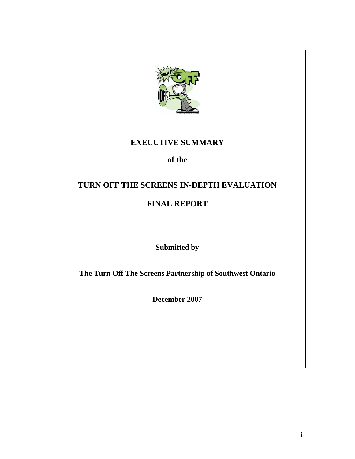

# **EXECUTIVE SUMMARY**

## **of the**

## **TURN OFF THE SCREENS IN-DEPTH EVALUATION**

# **FINAL REPORT**

**Submitted by**

**The Turn Off The Screens Partnership of Southwest Ontario**

**December 2007**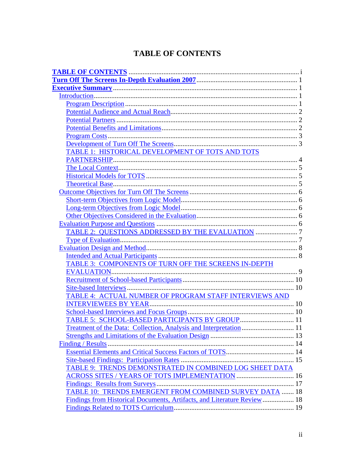# **TABLE OF CONTENTS**

| TABLE 1: HISTORICAL DEVELOPMENT OF TOTS AND TOTS                        |  |
|-------------------------------------------------------------------------|--|
|                                                                         |  |
|                                                                         |  |
|                                                                         |  |
|                                                                         |  |
|                                                                         |  |
|                                                                         |  |
|                                                                         |  |
|                                                                         |  |
|                                                                         |  |
|                                                                         |  |
|                                                                         |  |
|                                                                         |  |
|                                                                         |  |
| TABLE 3: COMPONENTS OF TURN OFF THE SCREENS IN-DEPTH                    |  |
|                                                                         |  |
|                                                                         |  |
|                                                                         |  |
| TABLE 4: ACTUAL NUMBER OF PROGRAM STAFF INTERVIEWS AND                  |  |
|                                                                         |  |
|                                                                         |  |
| TABLE 5: SCHOOL-BASED PARTICIPANTS BY GROUP 11                          |  |
|                                                                         |  |
|                                                                         |  |
|                                                                         |  |
|                                                                         |  |
|                                                                         |  |
| TABLE 9: TRENDS DEMONSTRATED IN COMBINED LOG SHEET DATA                 |  |
| <b>ACROSS SITES / YEARS OF TOTS IMPLEMENTATION  16</b>                  |  |
|                                                                         |  |
| TABLE 10: TRENDS EMERGENT FROM COMBINED SURVEY DATA  18                 |  |
| Findings from Historical Documents, Artifacts, and Literature Review 18 |  |
|                                                                         |  |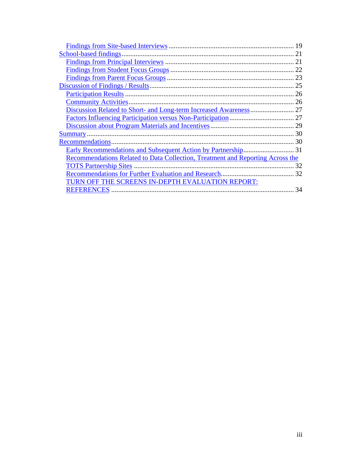|                                                                                | 19 |
|--------------------------------------------------------------------------------|----|
|                                                                                |    |
|                                                                                |    |
|                                                                                |    |
|                                                                                |    |
|                                                                                |    |
|                                                                                |    |
|                                                                                |    |
|                                                                                |    |
|                                                                                |    |
|                                                                                |    |
|                                                                                |    |
|                                                                                |    |
|                                                                                |    |
| Recommendations Related to Data Collection, Treatment and Reporting Across the |    |
|                                                                                | 32 |
|                                                                                |    |
| TURN OFF THE SCREENS IN-DEPTH EVALUATION REPORT:                               |    |
|                                                                                | 34 |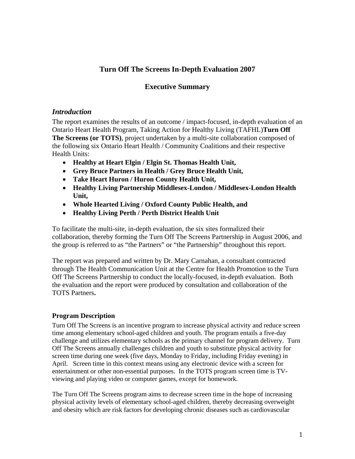## **Turn Off The Screens In-Depth Evaluation 2007**

## **Executive Summary**

## *Introduction*

The report examines the results of an outcome / impact-focused, in-depth evaluation of an Ontario Heart Health Program, Taking Action for Healthy Living (TAFHL)**Turn Off The Screens (or TOTS)**, project undertaken by a multi-site collaboration composed of the following six Ontario Heart Health / Community Coalitions and their respective Health Units:

- **Healthy at Heart Elgin / Elgin St. Thomas Health Unit,**
- **Grey Bruce Partners in Health / Grey Bruce Health Unit,**
- **Take Heart Huron / Huron County Health Unit,**
- **Healthy Living Partnership Middlesex-London / Middlesex-London Health Unit,**
- **Whole Hearted Living / Oxford County Public Health, and**
- **Healthy Living Perth / Perth District Health Unit**

To facilitate the multi-site, in-depth evaluation, the six sites formalized their collaboration, thereby forming the Turn Off The Screens Partnership in August 2006, and the group is referred to as "the Partners" or "the Partnership" throughout this report.

The report was prepared and written by Dr. Mary Carnahan, a consultant contracted through The Health Communication Unit at the Centre for Health Promotion to the Turn Off The Screens Partnership to conduct the locally-focused, in-depth evaluation. Both the evaluation and the report were produced by consultation and collaboration of the TOTS Partners**.**

## **Program Description**

Turn Off The Screens is an incentive program to increase physical activity and reduce screen time among elementary school-aged children and youth. The program entails a five-day challenge and utilizes elementary schools as the primary channel for program delivery. Turn Off The Screens annually challenges children and youth to substitute physical activity for screen time during one week (five days, Monday to Friday, including Friday evening) in April. Screen time in this context means using any electronic device with a screen for entertainment or other non-essential purposes. In the TOTS program screen time is TVviewing and playing video or computer games, except for homework.

The Turn Off The Screens program aims to decrease screen time in the hope of increasing physical activity levels of elementary school-aged children, thereby decreasing overweight and obesity which are risk factors for developing chronic diseases such as cardiovascular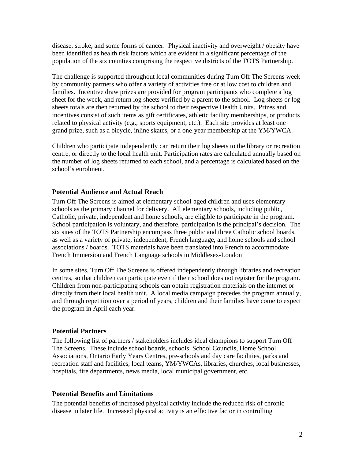disease, stroke, and some forms of cancer. Physical inactivity and overweight / obesity have been identified as health risk factors which are evident in a significant percentage of the population of the six counties comprising the respective districts of the TOTS Partnership.

The challenge is supported throughout local communities during Turn Off The Screens week by community partners who offer a variety of activities free or at low cost to children and families. Incentive draw prizes are provided for program participants who complete a log sheet for the week, and return log sheets verified by a parent to the school. Log sheets or log sheets totals are then returned by the school to their respective Health Units. Prizes and incentives consist of such items as gift certificates, athletic facility memberships, or products related to physical activity (e.g., sports equipment, etc.). Each site provides at least one grand prize, such as a bicycle, inline skates, or a one-year membership at the YM/YWCA.

Children who participate independently can return their log sheets to the library or recreation centre, or directly to the local health unit. Participation rates are calculated annually based on the number of log sheets returned to each school, and a percentage is calculated based on the school's enrolment.

#### **Potential Audience and Actual Reach**

Turn Off The Screens is aimed at elementary school-aged children and uses elementary schools as the primary channel for delivery. All elementary schools, including public, Catholic, private, independent and home schools, are eligible to participate in the program. School participation is voluntary, and therefore, participation is the principal's decision. The six sites of the TOTS Partnership encompass three public and three Catholic school boards, as well as a variety of private, independent, French language, and home schools and school associations / boards. TOTS materials have been translated into French to accommodate French Immersion and French Language schools in Middlesex-London

In some sites, Turn Off The Screens is offered independently through libraries and recreation centres, so that children can participate even if their school does not register for the program. Children from non-participating schools can obtain registration materials on the internet or directly from their local health unit. A local media campaign precedes the program annually, and through repetition over a period of years, children and their families have come to expect the program in April each year.

#### **Potential Partners**

The following list of partners / stakeholders includes ideal champions to support Turn Off The Screens. These include school boards, schools, School Councils, Home School Associations, Ontario Early Years Centres, pre-schools and day care facilities, parks and recreation staff and facilities, local teams, YM/YWCAs, libraries, churches, local businesses, hospitals, fire departments, news media, local municipal government, etc.

#### **Potential Benefits and Limitations**

The potential benefits of increased physical activity include the reduced risk of chronic disease in later life. Increased physical activity is an effective factor in controlling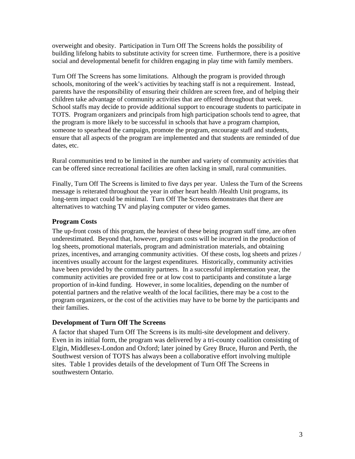overweight and obesity. Participation in Turn Off The Screens holds the possibility of building lifelong habits to substitute activity for screen time. Furthermore, there is a positive social and developmental benefit for children engaging in play time with family members.

Turn Off The Screens has some limitations. Although the program is provided through schools, monitoring of the week's activities by teaching staff is not a requirement. Instead, parents have the responsibility of ensuring their children are screen free, and of helping their children take advantage of community activities that are offered throughout that week. School staffs may decide to provide additional support to encourage students to participate in TOTS. Program organizers and principals from high participation schools tend to agree, that the program is more likely to be successful in schools that have a program champion, someone to spearhead the campaign, promote the program, encourage staff and students, ensure that all aspects of the program are implemented and that students are reminded of due dates, etc.

Rural communities tend to be limited in the number and variety of community activities that can be offered since recreational facilities are often lacking in small, rural communities.

Finally, Turn Off The Screens is limited to five days per year. Unless the Turn of the Screens message is reiterated throughout the year in other heart health /Health Unit programs, its long-term impact could be minimal. Turn Off The Screens demonstrates that there are alternatives to watching TV and playing computer or video games.

## **Program Costs**

The up-front costs of this program, the heaviest of these being program staff time, are often underestimated. Beyond that, however, program costs will be incurred in the production of log sheets, promotional materials, program and administration materials, and obtaining prizes, incentives, and arranging community activities. Of these costs, log sheets and prizes / incentives usually account for the largest expenditures. Historically, community activities have been provided by the community partners. In a successful implementation year, the community activities are provided free or at low cost to participants and constitute a large proportion of in-kind funding. However, in some localities, depending on the number of potential partners and the relative wealth of the local facilities, there may be a cost to the program organizers, or the cost of the activities may have to be borne by the participants and their families.

## **Development of Turn Off The Screens**

A factor that shaped Turn Off The Screens is its multi-site development and delivery. Even in its initial form, the program was delivered by a tri-county coalition consisting of Elgin, Middlesex-London and Oxford; later joined by Grey Bruce, Huron and Perth, the Southwest version of TOTS has always been a collaborative effort involving multiple sites. Table 1 provides details of the development of Turn Off The Screens in southwestern Ontario.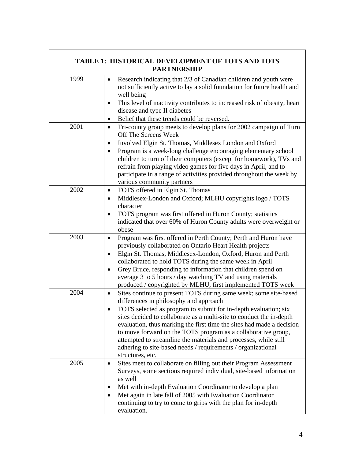| <b>TABLE 1: HISTORICAL DEVELOPMENT OF TOTS AND TOTS</b><br><b>PARTNERSHIP</b> |                                                                                                                                                                                                                                                                                                                                                                                                                                                                                                                                                                      |  |
|-------------------------------------------------------------------------------|----------------------------------------------------------------------------------------------------------------------------------------------------------------------------------------------------------------------------------------------------------------------------------------------------------------------------------------------------------------------------------------------------------------------------------------------------------------------------------------------------------------------------------------------------------------------|--|
| 1999                                                                          | Research indicating that 2/3 of Canadian children and youth were<br>٠<br>not sufficiently active to lay a solid foundation for future health and<br>well being<br>This level of inactivity contributes to increased risk of obesity, heart<br>$\bullet$<br>disease and type II diabetes<br>Belief that these trends could be reversed.<br>٠                                                                                                                                                                                                                          |  |
| 2001                                                                          | Tri-county group meets to develop plans for 2002 campaign of Turn<br>$\bullet$<br>Off The Screens Week<br>Involved Elgin St. Thomas, Middlesex London and Oxford<br>٠<br>Program is a week-long challenge encouraging elementary school<br>children to turn off their computers (except for homework), TVs and<br>refrain from playing video games for five days in April, and to<br>participate in a range of activities provided throughout the week by<br>various community partners                                                                              |  |
| 2002                                                                          | TOTS offered in Elgin St. Thomas<br>٠<br>Middlesex-London and Oxford; MLHU copyrights logo / TOTS<br>$\bullet$<br>character<br>TOTS program was first offered in Huron County; statistics<br>$\bullet$<br>indicated that over 60% of Huron County adults were overweight or<br>obese                                                                                                                                                                                                                                                                                 |  |
| 2003                                                                          | Program was first offered in Perth County; Perth and Huron have<br>$\bullet$<br>previously collaborated on Ontario Heart Health projects<br>Elgin St. Thomas, Middlesex-London, Oxford, Huron and Perth<br>٠<br>collaborated to hold TOTS during the same week in April<br>Grey Bruce, responding to information that children spend on<br>$\bullet$<br>average 3 to 5 hours / day watching TV and using materials<br>produced / copyrighted by MLHU, first implemented TOTS week                                                                                    |  |
| 2004                                                                          | Sites continue to present TOTS during same week; some site-based<br>$\bullet$<br>differences in philosophy and approach<br>TOTS selected as program to submit for in-depth evaluation; six<br>sites decided to collaborate as a multi-site to conduct the in-depth<br>evaluation, thus marking the first time the sites had made a decision<br>to move forward on the TOTS program as a collaborative group,<br>attempted to streamline the materials and processes, while still<br>adhering to site-based needs / requirements / organizational<br>structures, etc. |  |
| 2005                                                                          | Sites meet to collaborate on filling out their Program Assessment<br>$\bullet$<br>Surveys, some sections required individual, site-based information<br>as well<br>Met with in-depth Evaluation Coordinator to develop a plan<br>٠<br>Met again in late fall of 2005 with Evaluation Coordinator<br>$\bullet$<br>continuing to try to come to grips with the plan for in-depth<br>evaluation.                                                                                                                                                                        |  |

 $\Gamma$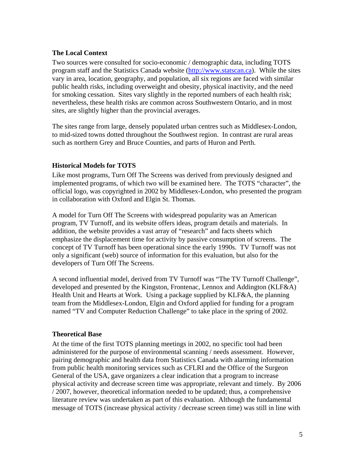## **The Local Context**

Two sources were consulted for socio-economic / demographic data, including TOTS program staff and the Statistics Canada website (http://www.statscan.ca). While the sites vary in area, location, geography, and population, all six regions are faced with similar public health risks, including overweight and obesity, physical inactivity, and the need for smoking cessation. Sites vary slightly in the reported numbers of each health risk; nevertheless, these health risks are common across Southwestern Ontario, and in most sites, are slightly higher than the provincial averages.

The sites range from large, densely populated urban centres such as Middlesex-London, to mid-sized towns dotted throughout the Southwest region. In contrast are rural areas such as northern Grey and Bruce Counties, and parts of Huron and Perth.

## **Historical Models for TOTS**

Like most programs, Turn Off The Screens was derived from previously designed and implemented programs, of which two will be examined here. The TOTS "character", the official logo, was copyrighted in 2002 by Middlesex-London, who presented the program in collaboration with Oxford and Elgin St. Thomas.

A model for Turn Off The Screens with widespread popularity was an American program, TV Turnoff, and its website offers ideas, program details and materials. In addition, the website provides a vast array of "research" and facts sheets which emphasize the displacement time for activity by passive consumption of screens. The concept of TV Turnoff has been operational since the early 1990s. TV Turnoff was not only a significant (web) source of information for this evaluation, but also for the developers of Turn Off The Screens.

A second influential model, derived from TV Turnoff was "The TV Turnoff Challenge", developed and presented by the Kingston, Frontenac, Lennox and Addington (KLF&A) Health Unit and Hearts at Work. Using a package supplied by KLF&A, the planning team from the Middlesex-London, Elgin and Oxford applied for funding for a program named "TV and Computer Reduction Challenge" to take place in the spring of 2002.

## **Theoretical Base**

At the time of the first TOTS planning meetings in 2002, no specific tool had been administered for the purpose of environmental scanning / needs assessment. However, pairing demographic and health data from Statistics Canada with alarming information from public health monitoring services such as CFLRI and the Office of the Surgeon General of the USA, gave organizers a clear indication that a program to increase physical activity and decrease screen time was appropriate, relevant and timely. By 2006 / 2007, however, theoretical information needed to be updated; thus, a comprehensive literature review was undertaken as part of this evaluation. Although the fundamental message of TOTS (increase physical activity / decrease screen time) was still in line with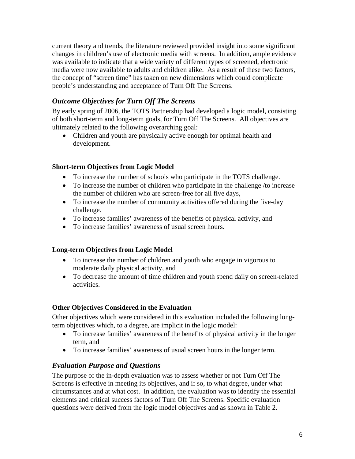current theory and trends, the literature reviewed provided insight into some significant changes in children's use of electronic media with screens. In addition, ample evidence was available to indicate that a wide variety of different types of screened, electronic media were now available to adults and children alike. As a result of these two factors, the concept of "screen time" has taken on new dimensions which could complicate people's understanding and acceptance of Turn Off The Screens.

## *Outcome Objectives for Turn Off The Screens*

By early spring of 2006, the TOTS Partnership had developed a logic model, consisting of both short-term and long-term goals, for Turn Off The Screens. All objectives are ultimately related to the following overarching goal:

• Children and youth are physically active enough for optimal health and development.

## **Short-term Objectives from Logic Model**

- To increase the number of schools who participate in the TOTS challenge.
- To increase the number of children who participate in the challenge /to increase the number of children who are screen-free for all five days,
- To increase the number of community activities offered during the five-day challenge.
- To increase families' awareness of the benefits of physical activity, and
- To increase families' awareness of usual screen hours.

## **Long-term Objectives from Logic Model**

- To increase the number of children and youth who engage in vigorous to moderate daily physical activity, and
- To decrease the amount of time children and youth spend daily on screen-related activities.

## **Other Objectives Considered in the Evaluation**

Other objectives which were considered in this evaluation included the following longterm objectives which, to a degree, are implicit in the logic model:

- To increase families' awareness of the benefits of physical activity in the longer term, and
- To increase families' awareness of usual screen hours in the longer term.

## *Evaluation Purpose and Questions*

The purpose of the in-depth evaluation was to assess whether or not Turn Off The Screens is effective in meeting its objectives, and if so, to what degree, under what circumstances and at what cost. In addition, the evaluation was to identify the essential elements and critical success factors of Turn Off The Screens. Specific evaluation questions were derived from the logic model objectives and as shown in Table 2.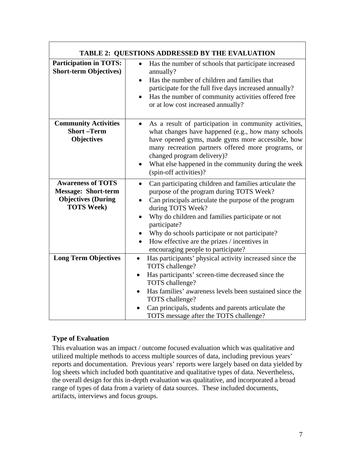| <b>TABLE 2: QUESTIONS ADDRESSED BY THE EVALUATION</b>                                                    |                                                                                                                                                                                                                                                                                                                                                                                                                      |  |
|----------------------------------------------------------------------------------------------------------|----------------------------------------------------------------------------------------------------------------------------------------------------------------------------------------------------------------------------------------------------------------------------------------------------------------------------------------------------------------------------------------------------------------------|--|
| <b>Participation in TOTS:</b><br><b>Short-term Objectives)</b>                                           | Has the number of schools that participate increased<br>annually?<br>Has the number of children and families that<br>$\bullet$<br>participate for the full five days increased annually?<br>Has the number of community activities offered free<br>$\bullet$<br>or at low cost increased annually?                                                                                                                   |  |
| <b>Community Activities</b><br><b>Short-Term</b><br><b>Objectives</b>                                    | As a result of participation in community activities,<br>$\bullet$<br>what changes have happened (e.g., how many schools<br>have opened gyms, made gyms more accessible, how<br>many recreation partners offered more programs, or<br>changed program delivery)?<br>What else happened in the community during the week<br>٠<br>(spin-off activities)?                                                               |  |
| <b>Awareness of TOTS</b><br><b>Message: Short-term</b><br><b>Objectives (During</b><br><b>TOTS Week)</b> | Can participating children and families articulate the<br>$\bullet$<br>purpose of the program during TOTS Week?<br>Can principals articulate the purpose of the program<br>during TOTS Week?<br>Why do children and families participate or not<br>participate?<br>Why do schools participate or not participate?<br>How effective are the prizes / incentives in<br>$\bullet$<br>encouraging people to participate? |  |
| <b>Long Term Objectives</b>                                                                              | Has participants' physical activity increased since the<br>$\bullet$<br>TOTS challenge?<br>Has participants' screen-time decreased since the<br>$\bullet$<br>TOTS challenge?<br>Has families' awareness levels been sustained since the<br>TOTS challenge?<br>Can principals, students and parents articulate the<br>TOTS message after the TOTS challenge?                                                          |  |

## **Type of Evaluation**

This evaluation was an impact / outcome focused evaluation which was qualitative and utilized multiple methods to access multiple sources of data, including previous years' reports and documentation. Previous years' reports were largely based on data yielded by log sheets which included both quantitative and qualitative types of data. Nevertheless, the overall design for this in-depth evaluation was qualitative, and incorporated a broad range of types of data from a variety of data sources. These included documents, artifacts, interviews and focus groups.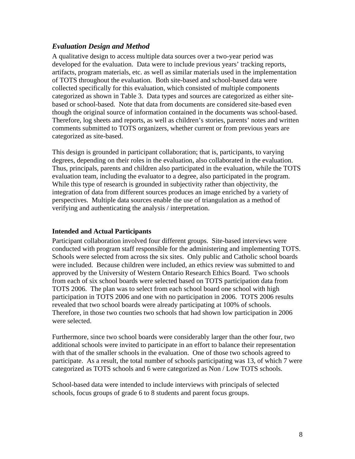## *Evaluation Design and Method*

A qualitative design to access multiple data sources over a two-year period was developed for the evaluation. Data were to include previous years' tracking reports, artifacts, program materials, etc. as well as similar materials used in the implementation of TOTS throughout the evaluation. Both site-based and school-based data were collected specifically for this evaluation, which consisted of multiple components categorized as shown in Table 3. Data types and sources are categorized as either sitebased or school-based. Note that data from documents are considered site-based even though the original source of information contained in the documents was school-based. Therefore, log sheets and reports, as well as children's stories, parents' notes and written comments submitted to TOTS organizers, whether current or from previous years are categorized as site-based.

This design is grounded in participant collaboration; that is, participants, to varying degrees, depending on their roles in the evaluation, also collaborated in the evaluation. Thus, principals, parents and children also participated in the evaluation, while the TOTS evaluation team, including the evaluator to a degree, also participated in the program. While this type of research is grounded in subjectivity rather than objectivity, the integration of data from different sources produces an image enriched by a variety of perspectives. Multiple data sources enable the use of triangulation as a method of verifying and authenticating the analysis / interpretation.

## **Intended and Actual Participants**

Participant collaboration involved four different groups. Site-based interviews were conducted with program staff responsible for the administering and implementing TOTS. Schools were selected from across the six sites. Only public and Catholic school boards were included. Because children were included, an ethics review was submitted to and approved by the University of Western Ontario Research Ethics Board. Two schools from each of six school boards were selected based on TOTS participation data from TOTS 2006. The plan was to select from each school board one school with high participation in TOTS 2006 and one with no participation in 2006. TOTS 2006 results revealed that two school boards were already participating at 100% of schools. Therefore, in those two counties two schools that had shown low participation in 2006 were selected.

Furthermore, since two school boards were considerably larger than the other four, two additional schools were invited to participate in an effort to balance their representation with that of the smaller schools in the evaluation. One of those two schools agreed to participate. As a result, the total number of schools participating was 13, of which 7 were categorized as TOTS schools and 6 were categorized as Non / Low TOTS schools.

School-based data were intended to include interviews with principals of selected schools, focus groups of grade 6 to 8 students and parent focus groups.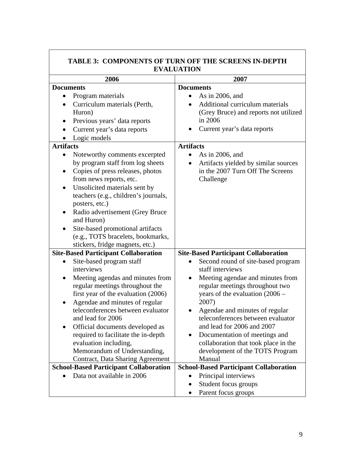| TABLE 3: COMPONENTS OF TURN OFF THE SCREENS IN-DEPTH<br><b>EVALUATION</b>                                                                                                                                                                                                                                                             |                                                                                                                                                                                                                      |  |
|---------------------------------------------------------------------------------------------------------------------------------------------------------------------------------------------------------------------------------------------------------------------------------------------------------------------------------------|----------------------------------------------------------------------------------------------------------------------------------------------------------------------------------------------------------------------|--|
| 2006                                                                                                                                                                                                                                                                                                                                  | 2007                                                                                                                                                                                                                 |  |
| <b>Documents</b>                                                                                                                                                                                                                                                                                                                      | <b>Documents</b>                                                                                                                                                                                                     |  |
| Program materials<br>Curriculum materials (Perth,<br>Huron)<br>Previous years' data reports<br>Current year's data reports<br>Logic models<br><b>Artifacts</b><br>Noteworthy comments excerpted<br>by program staff from log sheets                                                                                                   | As in 2006, and<br>Additional curriculum materials<br>(Grey Bruce) and reports not utilized<br>in 2006<br>Current year's data reports<br><b>Artifacts</b><br>As in 2006, and<br>Artifacts yielded by similar sources |  |
| Copies of press releases, photos<br>٠<br>from news reports, etc.<br>Unsolicited materials sent by<br>$\bullet$<br>teachers (e.g., children's journals,<br>posters, etc.)<br>Radio advertisement (Grey Bruce<br>and Huron)<br>Site-based promotional artifacts<br>(e.g., TOTS bracelets, bookmarks,<br>stickers, fridge magnets, etc.) | in the 2007 Turn Off The Screens<br>Challenge                                                                                                                                                                        |  |
| <b>Site-Based Participant Collaboration</b>                                                                                                                                                                                                                                                                                           | <b>Site-Based Participant Collaboration</b>                                                                                                                                                                          |  |
| Site-based program staff<br>interviews                                                                                                                                                                                                                                                                                                | Second round of site-based program<br>staff interviews                                                                                                                                                               |  |
| Meeting agendas and minutes from<br>$\bullet$<br>regular meetings throughout the<br>first year of the evaluation (2006)<br>Agendae and minutes of regular<br>$\bullet$                                                                                                                                                                | Meeting agendae and minutes from<br>٠<br>regular meetings throughout two<br>years of the evaluation $(2006 -$<br>2007)                                                                                               |  |
| teleconferences between evaluator<br>and lead for 2006<br>Official documents developed as                                                                                                                                                                                                                                             | Agendae and minutes of regular<br>teleconferences between evaluator<br>and lead for 2006 and 2007                                                                                                                    |  |
| required to facilitate the in-depth<br>evaluation including,<br>Memorandum of Understanding,<br><b>Contract, Data Sharing Agreement</b>                                                                                                                                                                                               | Documentation of meetings and<br>collaboration that took place in the<br>development of the TOTS Program<br>Manual                                                                                                   |  |
| <b>School-Based Participant Collaboration</b>                                                                                                                                                                                                                                                                                         | <b>School-Based Participant Collaboration</b>                                                                                                                                                                        |  |
| Data not available in 2006                                                                                                                                                                                                                                                                                                            | Principal interviews                                                                                                                                                                                                 |  |
|                                                                                                                                                                                                                                                                                                                                       | Student focus groups<br>$\bullet$                                                                                                                                                                                    |  |
|                                                                                                                                                                                                                                                                                                                                       | Parent focus groups<br>٠                                                                                                                                                                                             |  |

# **TABLE 3: COMPONENTS OF TURN OFF THE SCREENS IN-DEPTH**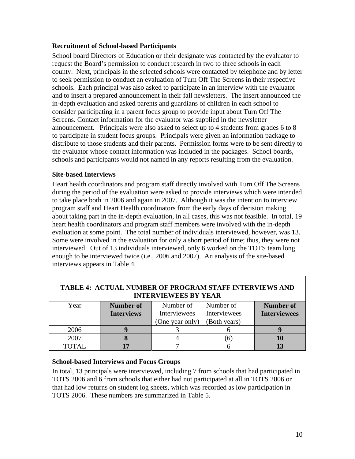## **Recruitment of School-based Participants**

School board Directors of Education or their designate was contacted by the evaluator to request the Board's permission to conduct research in two to three schools in each county. Next, principals in the selected schools were contacted by telephone and by letter to seek permission to conduct an evaluation of Turn Off The Screens in their respective schools. Each principal was also asked to participate in an interview with the evaluator and to insert a prepared announcement in their fall newsletters. The insert announced the in-depth evaluation and asked parents and guardians of children in each school to consider participating in a parent focus group to provide input about Turn Off The Screens. Contact information for the evaluator was supplied in the newsletter announcement. Principals were also asked to select up to 4 students from grades 6 to 8 to participate in student focus groups. Principals were given an information package to distribute to those students and their parents. Permission forms were to be sent directly to the evaluator whose contact information was included in the packages. School boards, schools and participants would not named in any reports resulting from the evaluation.

#### **Site-based Interviews**

Heart health coordinators and program staff directly involved with Turn Off The Screens during the period of the evaluation were asked to provide interviews which were intended to take place both in 2006 and again in 2007. Although it was the intention to interview program staff and Heart Health coordinators from the early days of decision making about taking part in the in-depth evaluation, in all cases, this was not feasible. In total, 19 heart health coordinators and program staff members were involved with the in-depth evaluation at some point. The total number of individuals interviewed, however, was 13. Some were involved in the evaluation for only a short period of time; thus, they were not interviewed. Out of 13 individuals interviewed, only 6 worked on the TOTS team long enough to be interviewed twice (i.e., 2006 and 2007). An analysis of the site-based interviews appears in Table 4.

| <b>TABLE 4: ACTUAL NUMBER OF PROGRAM STAFF INTERVIEWS AND</b><br><b>INTERVIEWEES BY YEAR</b> |                   |                     |              |                     |
|----------------------------------------------------------------------------------------------|-------------------|---------------------|--------------|---------------------|
| Year                                                                                         | Number of         | Number of           | Number of    | Number of           |
|                                                                                              | <b>Interviews</b> | <b>Interviewees</b> | Interviewees | <b>Interviewees</b> |
|                                                                                              |                   | (One year only)     | (Both years) |                     |
| 2006                                                                                         |                   |                     |              |                     |
| 2007                                                                                         |                   |                     | <sub>6</sub> |                     |
| TOTAL.                                                                                       |                   |                     |              |                     |

## **School-based Interviews and Focus Groups**

In total, 13 principals were interviewed, including 7 from schools that had participated in TOTS 2006 and 6 from schools that either had not participated at all in TOTS 2006 or that had low returns on student log sheets, which was recorded as low participation in TOTS 2006. These numbers are summarized in Table 5.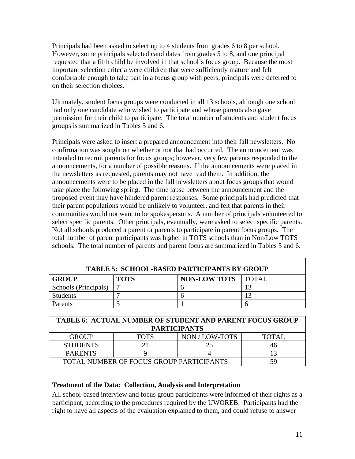Principals had been asked to select up to 4 students from grades 6 to 8 per school. However, some principals selected candidates from grades 5 to 8, and one principal requested that a fifth child be involved in that school's focus group. Because the most important selection criteria were children that were sufficiently mature and felt comfortable enough to take part in a focus group with peers, principals were deferred to on their selection choices.

Ultimately, student focus groups were conducted in all 13 schools, although one school had only one candidate who wished to participate and whose parents also gave permission for their child to participate. The total number of students and student focus groups is summarized in Tables 5 and 6.

Principals were asked to insert a prepared announcement into their fall newsletters. No confirmation was sought on whether or not that had occurred. The announcement was intended to recruit parents for focus groups; however, very few parents responded to the announcements, for a number of possible reasons. If the announcements were placed in the newsletters as requested, parents may not have read them. In addition, the announcements were to be placed in the fall newsletters about focus groups that would take place the following spring. The time lapse between the announcement and the proposed event may have hindered parent responses. Some principals had predicted that their parent populations would be unlikely to volunteer, and felt that parents in their communities would not want to be spokespersons. A number of principals volunteered to select specific parents. Other principals, eventually, were asked to select specific parents. Not all schools produced a parent or parents to participate in parent focus groups. The total number of parent participants was higher in TOTS schools than in Non/Low TOTS schools. The total number of parents and parent focus are summarized in Tables 5 and 6.

| <b>TABLE 5: SCHOOL-BASED PARTICIPANTS BY GROUP</b> |             |                      |  |
|----------------------------------------------------|-------------|----------------------|--|
| <b>GROUP</b>                                       | <b>TOTS</b> | NON-LOW TOTS   TOTAL |  |
| Schools (Principals)                               |             |                      |  |
| <b>Students</b>                                    |             |                      |  |
| <b>Parents</b>                                     |             |                      |  |

| <b>TABLE 6: ACTUAL NUMBER OF STUDENT AND PARENT FOCUS GROUP</b><br><b>PARTICIPANTS</b> |             |                |        |
|----------------------------------------------------------------------------------------|-------------|----------------|--------|
| <b>GROUP</b>                                                                           | <b>TOTS</b> | NON / LOW-TOTS | TOTAL. |
| <b>STUDENTS</b>                                                                        |             | 25             |        |
| <b>PARENTS</b>                                                                         |             |                |        |
| TOTAL NUMBER OF FOCUS GROUP PARTICIPANTS<br>59                                         |             |                |        |

## **Treatment of the Data: Collection, Analysis and Interpretation**

All school-based interview and focus group participants were informed of their rights as a participant, according to the procedures required by the UWOREB. Participants had the right to have all aspects of the evaluation explained to them, and could refuse to answer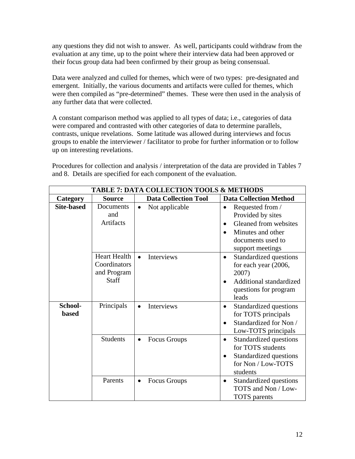any questions they did not wish to answer. As well, participants could withdraw from the evaluation at any time, up to the point where their interview data had been approved or their focus group data had been confirmed by their group as being consensual.

Data were analyzed and culled for themes, which were of two types: pre-designated and emergent. Initially, the various documents and artifacts were culled for themes, which were then compiled as "pre-determined" themes. These were then used in the analysis of any further data that were collected.

A constant comparison method was applied to all types of data; i.e., categories of data were compared and contrasted with other categories of data to determine parallels, contrasts, unique revelations. Some latitude was allowed during interviews and focus groups to enable the interviewer / facilitator to probe for further information or to follow up on interesting revelations.

Procedures for collection and analysis / interpretation of the data are provided in Tables 7 and 8. Details are specified for each component of the evaluation.

| <b>TABLE 7: DATA COLLECTION TOOLS &amp; METHODS</b> |                                                                    |                             |                                                                                                                                           |  |
|-----------------------------------------------------|--------------------------------------------------------------------|-----------------------------|-------------------------------------------------------------------------------------------------------------------------------------------|--|
| Category                                            | <b>Source</b>                                                      | <b>Data Collection Tool</b> | <b>Data Collection Method</b>                                                                                                             |  |
| <b>Site-based</b>                                   | Documents<br>and<br>Artifacts                                      | Not applicable<br>$\bullet$ | Requested from /<br>$\bullet$<br>Provided by sites<br>Gleaned from websites<br>Minutes and other<br>documents used to<br>support meetings |  |
|                                                     | <b>Heart Health</b><br>Coordinators<br>and Program<br><b>Staff</b> | Interviews<br>$\bullet$     | Standardized questions<br>$\bullet$<br>for each year (2006,<br>2007)<br>Additional standardized<br>questions for program<br>leads         |  |
| School-<br><b>based</b>                             | Principals                                                         | Interviews<br>$\bullet$     | Standardized questions<br>$\bullet$<br>for TOTS principals<br>Standardized for Non /<br>$\bullet$<br>Low-TOTS principals                  |  |
|                                                     | <b>Students</b>                                                    | Focus Groups<br>$\bullet$   | Standardized questions<br>$\bullet$<br>for TOTS students<br>Standardized questions<br>$\bullet$<br>for Non / Low-TOTS<br>students         |  |
|                                                     | Parents                                                            | Focus Groups<br>$\bullet$   | Standardized questions<br>$\bullet$<br>TOTS and Non / Low-<br><b>TOTS</b> parents                                                         |  |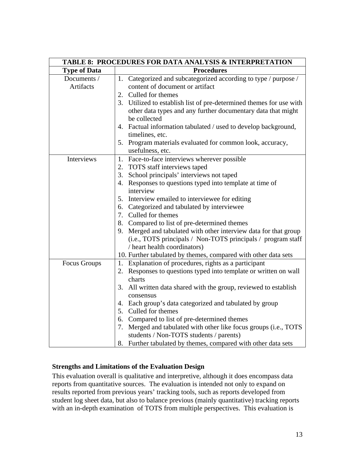| TABLE 8: PROCEDURES FOR DATA ANALYSIS & INTERPRETATION |                                                                     |  |
|--------------------------------------------------------|---------------------------------------------------------------------|--|
| <b>Type of Data</b>                                    | <b>Procedures</b>                                                   |  |
| Documents /                                            | 1. Categorized and subcategorized according to type / purpose /     |  |
| <b>Artifacts</b>                                       | content of document or artifact                                     |  |
|                                                        | 2. Culled for themes                                                |  |
|                                                        | 3. Utilized to establish list of pre-determined themes for use with |  |
|                                                        | other data types and any further documentary data that might        |  |
|                                                        | be collected                                                        |  |
|                                                        | 4. Factual information tabulated / used to develop background,      |  |
|                                                        | timelines, etc.                                                     |  |
|                                                        | 5. Program materials evaluated for common look, accuracy,           |  |
|                                                        | usefulness, etc.                                                    |  |
| Interviews                                             | 1. Face-to-face interviews wherever possible                        |  |
|                                                        | 2. TOTS staff interviews taped                                      |  |
|                                                        | 3. School principals' interviews not taped                          |  |
|                                                        | 4. Responses to questions typed into template at time of            |  |
|                                                        | interview                                                           |  |
|                                                        | 5. Interview emailed to interviewee for editing                     |  |
|                                                        | 6. Categorized and tabulated by interviewee                         |  |
|                                                        | 7. Culled for themes                                                |  |
|                                                        | 8. Compared to list of pre-determined themes                        |  |
|                                                        | 9. Merged and tabulated with other interview data for that group    |  |
|                                                        | (i.e., TOTS principals / Non-TOTS principals / program staff        |  |
|                                                        | / heart health coordinators)                                        |  |
|                                                        | 10. Further tabulated by themes, compared with other data sets      |  |
| Focus Groups                                           | 1. Explanation of procedures, rights as a participant               |  |
|                                                        | 2. Responses to questions typed into template or written on wall    |  |
|                                                        | charts                                                              |  |
|                                                        | 3. All written data shared with the group, reviewed to establish    |  |
|                                                        | consensus                                                           |  |
|                                                        | 4. Each group's data categorized and tabulated by group             |  |
|                                                        | 5. Culled for themes                                                |  |
|                                                        | 6. Compared to list of pre-determined themes                        |  |
|                                                        | 7. Merged and tabulated with other like focus groups (i.e., TOTS    |  |
|                                                        | students / Non-TOTS students / parents)                             |  |
|                                                        | 8. Further tabulated by themes, compared with other data sets       |  |

## **Strengths and Limitations of the Evaluation Design**

This evaluation overall is qualitative and interpretive, although it does encompass data reports from quantitative sources. The evaluation is intended not only to expand on results reported from previous years' tracking tools, such as reports developed from student log sheet data, but also to balance previous (mainly quantitative) tracking reports with an in-depth examination of TOTS from multiple perspectives. This evaluation is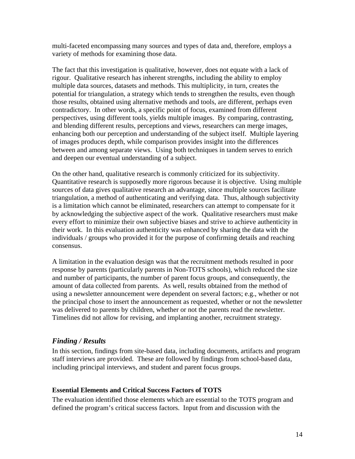multi-faceted encompassing many sources and types of data and, therefore, employs a variety of methods for examining those data.

The fact that this investigation is qualitative, however, does not equate with a lack of rigour. Qualitative research has inherent strengths, including the ability to employ multiple data sources, datasets and methods. This multiplicity, in turn, creates the potential for triangulation, a strategy which tends to strengthen the results, even though those results, obtained using alternative methods and tools, are different, perhaps even contradictory. In other words, a specific point of focus, examined from different perspectives, using different tools, yields multiple images. By comparing, contrasting, and blending different results, perceptions and views, researchers can merge images, enhancing both our perception and understanding of the subject itself. Multiple layering of images produces depth, while comparison provides insight into the differences between and among separate views. Using both techniques in tandem serves to enrich and deepen our eventual understanding of a subject.

On the other hand, qualitative research is commonly criticized for its subjectivity. Quantitative research is supposedly more rigorous because it is objective. Using multiple sources of data gives qualitative research an advantage, since multiple sources facilitate triangulation, a method of authenticating and verifying data. Thus, although subjectivity is a limitation which cannot be eliminated, researchers can attempt to compensate for it by acknowledging the subjective aspect of the work. Qualitative researchers must make every effort to minimize their own subjective biases and strive to achieve authenticity in their work. In this evaluation authenticity was enhanced by sharing the data with the individuals / groups who provided it for the purpose of confirming details and reaching consensus.

A limitation in the evaluation design was that the recruitment methods resulted in poor response by parents (particularly parents in Non-TOTS schools), which reduced the size and number of participants, the number of parent focus groups, and consequently, the amount of data collected from parents. As well, results obtained from the method of using a newsletter announcement were dependent on several factors; e.g., whether or not the principal chose to insert the announcement as requested, whether or not the newsletter was delivered to parents by children, whether or not the parents read the newsletter. Timelines did not allow for revising, and implanting another, recruitment strategy.

## *Finding / Results*

In this section, findings from site-based data, including documents, artifacts and program staff interviews are provided. These are followed by findings from school-based data, including principal interviews, and student and parent focus groups.

## **Essential Elements and Critical Success Factors of TOTS**

The evaluation identified those elements which are essential to the TOTS program and defined the program's critical success factors. Input from and discussion with the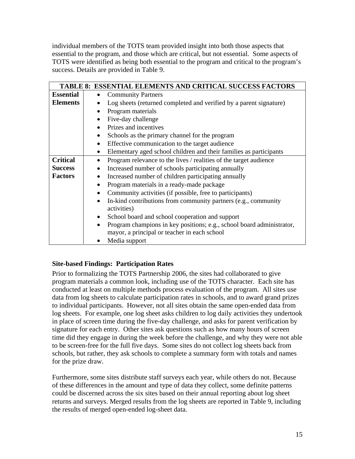individual members of the TOTS team provided insight into both those aspects that essential to the program, and those which are critical, but not essential. Some aspects of TOTS were identified as being both essential to the program and critical to the program's success. Details are provided in Table 9.

|                  | <b>TABLE 8: ESSENTIAL ELEMENTS AND CRITICAL SUCCESS FACTORS</b>                                                       |
|------------------|-----------------------------------------------------------------------------------------------------------------------|
| <b>Essential</b> | <b>Community Partners</b><br>$\bullet$                                                                                |
| <b>Elements</b>  | Log sheets (returned completed and verified by a parent signature)                                                    |
|                  | Program materials                                                                                                     |
|                  | Five-day challenge                                                                                                    |
|                  | Prizes and incentives                                                                                                 |
|                  | Schools as the primary channel for the program<br>$\bullet$                                                           |
|                  | Effective communication to the target audience<br>$\bullet$                                                           |
|                  | Elementary aged school children and their families as participants<br>$\bullet$                                       |
| <b>Critical</b>  | Program relevance to the lives / realities of the target audience                                                     |
| <b>Success</b>   | Increased number of schools participating annually                                                                    |
| <b>Factors</b>   | Increased number of children participating annually                                                                   |
|                  | Program materials in a ready-made package                                                                             |
|                  | Community activities (if possible, free to participants)                                                              |
|                  | In-kind contributions from community partners (e.g., community<br>$\bullet$<br>activities)                            |
|                  | School board and school cooperation and support<br>$\bullet$                                                          |
|                  | Program champions in key positions; e.g., school board administrator,<br>mayor, a principal or teacher in each school |
|                  | Media support                                                                                                         |

## **Site-based Findings: Participation Rates**

Prior to formalizing the TOTS Partnership 2006, the sites had collaborated to give program materials a common look, including use of the TOTS character. Each site has conducted at least on multiple methods process evaluation of the program. All sites use data from log sheets to calculate participation rates in schools, and to award grand prizes to individual participants. However, not all sites obtain the same open-ended data from log sheets. For example, one log sheet asks children to log daily activities they undertook in place of screen time during the five-day challenge, and asks for parent verification by signature for each entry. Other sites ask questions such as how many hours of screen time did they engage in during the week before the challenge, and why they were not able to be screen-free for the full five days. Some sites do not collect log sheets back from schools, but rather, they ask schools to complete a summary form with totals and names for the prize draw.

Furthermore, some sites distribute staff surveys each year, while others do not. Because of these differences in the amount and type of data they collect, some definite patterns could be discerned across the six sites based on their annual reporting about log sheet returns and surveys. Merged results from the log sheets are reported in Table 9, including the results of merged open-ended log-sheet data.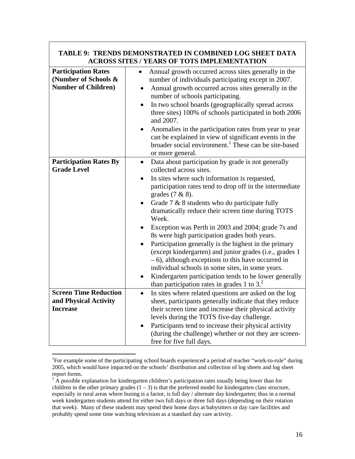|                                                                                  | I NENDS DEMNINSI NA LED IN V<br>I JIVI.<br><b>ACROSS SITES / YEARS OF TOTS IMPLEMENTATION</b>                                                                                                                                                                                                                                                                                                                                                                                                                                                                                                                                                                                                                                                                                                              |
|----------------------------------------------------------------------------------|------------------------------------------------------------------------------------------------------------------------------------------------------------------------------------------------------------------------------------------------------------------------------------------------------------------------------------------------------------------------------------------------------------------------------------------------------------------------------------------------------------------------------------------------------------------------------------------------------------------------------------------------------------------------------------------------------------------------------------------------------------------------------------------------------------|
| <b>Participation Rates</b><br>(Number of Schools &<br><b>Number of Children)</b> | Annual growth occurred across sites generally in the<br>number of individuals participating except in 2007.<br>Annual growth occurred across sites generally in the<br>$\bullet$<br>number of schools participating.<br>In two school boards (geographically spread across<br>three sites) 100% of schools participated in both 2006<br>and 2007.<br>Anomalies in the participation rates from year to year<br>can be explained in view of significant events in the<br>broader social environment. <sup>1</sup> These can be site-based<br>or more general.                                                                                                                                                                                                                                               |
| <b>Participation Rates By</b><br><b>Grade Level</b>                              | Data about participation by grade is not generally<br>$\bullet$<br>collected across sites.<br>In sites where such information is requested,<br>$\bullet$<br>participation rates tend to drop off in the intermediate<br>grades $(7 & 8)$ .<br>Grade 7 & 8 students who do participate fully<br>dramatically reduce their screen time during TOTS<br>Week.<br>Exception was Perth in 2003 and 2004; grade 7s and<br>8s were high participation grades both years.<br>Participation generally is the highest in the primary<br>(except kindergarten) and junior grades (i.e., grades 1<br>- 6), although exceptions to this have occurred in<br>individual schools in some sites, in some years.<br>Kindergarten participation tends to be lower generally<br>than participation rates in grades 1 to $32$ . |
| <b>Screen Time Reduction</b><br>and Physical Activity<br><b>Increase</b>         | In sites where related questions are asked on the log<br>$\bullet$<br>sheet, participants generally indicate that they reduce<br>their screen time and increase their physical activity<br>levels during the TOTS five-day challenge.<br>Participants tend to increase their physical activity<br>(during the challenge) whether or not they are screen-<br>free for five full days.                                                                                                                                                                                                                                                                                                                                                                                                                       |

# **TABLE 9: TRENDS DEMONSTRATED IN COMBINED LOG SHEET DATA**

 $\overline{a}$ 

<sup>&</sup>lt;sup>1</sup>For example some of the participating school boards experienced a period of teacher "work-to-rule" during 2005, which would have impacted on the schools' distribution and collection of log sheets and log sheet report forms.

 $2\text{ Å}$  possible explanation for kindergarten children's participation rates usually being lower than for children in the other primary grades  $(1 – 3)$  is that the preferred model for kindergarten class structure, especially in rural areas where busing is a factor, is full day / alternate day kindergarten; thus in a normal week kindergarten students attend for either two full days or three full days (depending on their rotation that week). Many of these students may spend their home days at babysitters or day care facilities and probably spend some time watching television as a standard day care activity.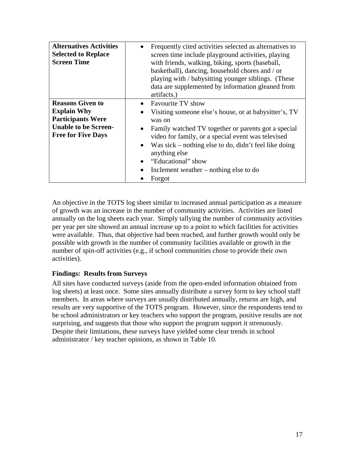| <b>Alternatives Activities</b><br><b>Selected to Replace</b><br><b>Screen Time</b>                                                    | Frequently cited activities selected as alternatives to<br>screen time include playground activities, playing<br>with friends, walking, biking, sports (baseball,<br>basketball), dancing, household chores and / or<br>playing with / babysitting younger siblings. (These<br>data are supplemented by information gleaned from<br>artifacts.)                      |
|---------------------------------------------------------------------------------------------------------------------------------------|----------------------------------------------------------------------------------------------------------------------------------------------------------------------------------------------------------------------------------------------------------------------------------------------------------------------------------------------------------------------|
| <b>Reasons Given to</b><br><b>Explain Why</b><br><b>Participants Were</b><br><b>Unable to be Screen-</b><br><b>Free for Five Days</b> | • Favourite TV show<br>Visiting someone else's house, or at babysitter's, TV<br>was on<br>Family watched TV together or parents got a special<br>video for family, or a special event was televised<br>Was sick – nothing else to do, didn't feel like doing<br>anything else<br>"Educational" show<br>Inclement weather – nothing else to do<br>$\bullet$<br>Forgot |

An objective in the TOTS log sheet similar to increased annual participation as a measure of growth was an increase in the number of community activities. Activities are listed annually on the log sheets each year. Simply tallying the number of community activities per year per site showed an annual increase up to a point to which facilities for activities were available. Thus, that objective had been reached, and further growth would only be possible with growth in the number of community facilities available or growth in the number of spin-off activities (e.g., if school communities chose to provide their own activities).

## **Findings: Results from Surveys**

All sites have conducted surveys (aside from the open-ended information obtained from log sheets) at least once. Some sites annually distribute a survey form to key school staff members. In areas where surveys are usually distributed annually, returns are high, and results are very supportive of the TOTS program. However, since the respondents tend to be school administrators or key teachers who support the program, positive results are not surprising, and suggests that those who support the program support it strenuously. Despite their limitations, these surveys have yielded some clear trends in school administrator / key teacher opinions, as shown in Table 10.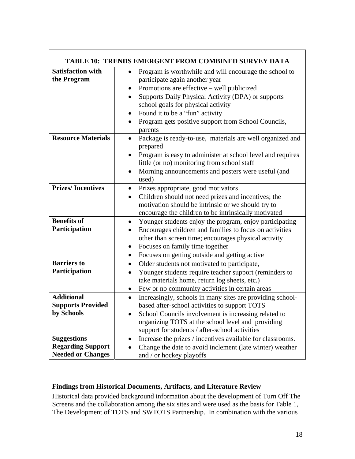| TABLE 10: TRENDS EMERGENT FROM COMBINED SURVEY DATA                        |                                                                                                                                                                                                                                                                                                       |
|----------------------------------------------------------------------------|-------------------------------------------------------------------------------------------------------------------------------------------------------------------------------------------------------------------------------------------------------------------------------------------------------|
| <b>Satisfaction with</b><br>the Program                                    | Program is worthwhile and will encourage the school to<br>$\bullet$<br>participate again another year<br>Promotions are effective – well publicized<br>$\bullet$                                                                                                                                      |
|                                                                            | Supports Daily Physical Activity (DPA) or supports<br>$\bullet$<br>school goals for physical activity                                                                                                                                                                                                 |
|                                                                            | Found it to be a "fun" activity<br>$\bullet$<br>Program gets positive support from School Councils,<br>parents                                                                                                                                                                                        |
| <b>Resource Materials</b>                                                  | Package is ready-to-use, materials are well organized and<br>$\bullet$<br>prepared                                                                                                                                                                                                                    |
|                                                                            | Program is easy to administer at school level and requires<br>$\bullet$<br>little (or no) monitoring from school staff                                                                                                                                                                                |
|                                                                            | Morning announcements and posters were useful (and<br>used)                                                                                                                                                                                                                                           |
| <b>Prizes/Incentives</b>                                                   | Prizes appropriate, good motivators<br>$\bullet$<br>Children should not need prizes and incentives; the<br>$\bullet$<br>motivation should be intrinsic or we should try to<br>encourage the children to be intrinsically motivated                                                                    |
| <b>Benefits of</b><br>Participation                                        | Younger students enjoy the program, enjoy participating<br>$\bullet$<br>Encourages children and families to focus on activities<br>other than screen time; encourages physical activity<br>Focuses on family time together<br>$\bullet$<br>Focuses on getting outside and getting active<br>$\bullet$ |
| <b>Barriers</b> to<br>Participation                                        | Older students not motivated to participate,<br>$\bullet$<br>Younger students require teacher support (reminders to<br>take materials home, return log sheets, etc.)<br>Few or no community activities in certain areas                                                                               |
| <b>Additional</b><br><b>Supports Provided</b><br>by Schools                | Increasingly, schools in many sites are providing school-<br>$\bullet$<br>based after-school activities to support TOTS<br>School Councils involvement is increasing related to<br>organizing TOTS at the school level and providing<br>support for students / after-school activities                |
| <b>Suggestions</b><br><b>Regarding Support</b><br><b>Needed or Changes</b> | Increase the prizes / incentives available for classrooms.<br>$\bullet$<br>Change the date to avoid inclement (late winter) weather<br>and / or hockey playoffs                                                                                                                                       |

## **Findings from Historical Documents, Artifacts, and Literature Review**

Historical data provided background information about the development of Turn Off The Screens and the collaboration among the six sites and were used as the basis for Table 1, The Development of TOTS and SWTOTS Partnership. In combination with the various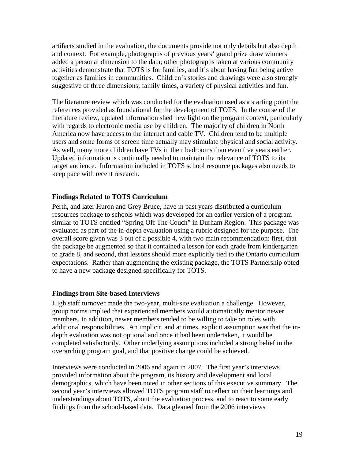artifacts studied in the evaluation, the documents provide not only details but also depth and context. For example, photographs of previous years' grand prize draw winners added a personal dimension to the data; other photographs taken at various community activities demonstrate that TOTS is for families, and it's about having fun being active together as families in communities. Children's stories and drawings were also strongly suggestive of three dimensions; family times, a variety of physical activities and fun.

The literature review which was conducted for the evaluation used as a starting point the references provided as foundational for the development of TOTS. In the course of the literature review, updated information shed new light on the program context, particularly with regards to electronic media use by children. The majority of children in North America now have access to the internet and cable TV. Children tend to be multiple users and some forms of screen time actually may stimulate physical and social activity. As well, many more children have TVs in their bedrooms than even five years earlier. Updated information is continually needed to maintain the relevance of TOTS to its target audience. Information included in TOTS school resource packages also needs to keep pace with recent research.

## **Findings Related to TOTS Curriculum**

Perth, and later Huron and Grey Bruce, have in past years distributed a curriculum resources package to schools which was developed for an earlier version of a program similar to TOTS entitled "Spring Off The Couch" in Durham Region. This package was evaluated as part of the in-depth evaluation using a rubric designed for the purpose. The overall score given was 3 out of a possible 4, with two main recommendation: first, that the package be augmented so that it contained a lesson for each grade from kindergarten to grade 8, and second, that lessons should more explicitly tied to the Ontario curriculum expectations. Rather than augmenting the existing package, the TOTS Partnership opted to have a new package designed specifically for TOTS.

#### **Findings from Site-based Interviews**

High staff turnover made the two-year, multi-site evaluation a challenge. However, group norms implied that experienced members would automatically mentor newer members. In addition, newer members tended to be willing to take on roles with additional responsibilities. An implicit, and at times, explicit assumption was that the indepth evaluation was not optional and once it had been undertaken, it would be completed satisfactorily. Other underlying assumptions included a strong belief in the overarching program goal, and that positive change could be achieved.

Interviews were conducted in 2006 and again in 2007. The first year's interviews provided information about the program, its history and development and local demographics, which have been noted in other sections of this executive summary. The second year's interviews allowed TOTS program staff to reflect on their learnings and understandings about TOTS, about the evaluation process, and to react to some early findings from the school-based data. Data gleaned from the 2006 interviews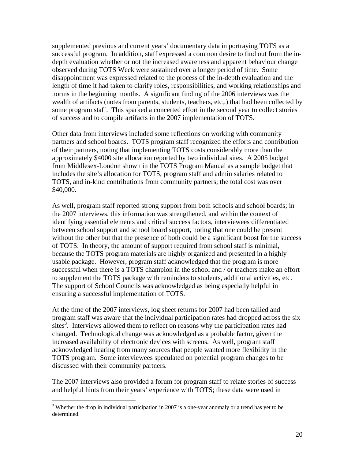supplemented previous and current years' documentary data in portraying TOTS as a successful program. In addition, staff expressed a common desire to find out from the indepth evaluation whether or not the increased awareness and apparent behaviour change observed during TOTS Week were sustained over a longer period of time. Some disappointment was expressed related to the process of the in-depth evaluation and the length of time it had taken to clarify roles, responsibilities, and working relationships and norms in the beginning months. A significant finding of the 2006 interviews was the wealth of artifacts (notes from parents, students, teachers, etc,.) that had been collected by some program staff. This sparked a concerted effort in the second year to collect stories of success and to compile artifacts in the 2007 implementation of TOTS.

Other data from interviews included some reflections on working with community partners and school boards. TOTS program staff recognized the efforts and contribution of their partners, noting that implementing TOTS costs considerably more than the approximately \$4000 site allocation reported by two individual sites. A 2005 budget from Middlesex-London shown in the TOTS Program Manual as a sample budget that includes the site's allocation for TOTS, program staff and admin salaries related to TOTS, and in-kind contributions from community partners; the total cost was over \$40,000.

As well, program staff reported strong support from both schools and school boards; in the 2007 interviews, this information was strengthened, and within the context of identifying essential elements and critical success factors, interviewees differentiated between school support and school board support, noting that one could be present without the other but that the presence of both could be a significant boost for the success of TOTS. In theory, the amount of support required from school staff is minimal, because the TOTS program materials are highly organized and presented in a highly usable package. However, program staff acknowledged that the program is more successful when there is a TOTS champion in the school and / or teachers make an effort to supplement the TOTS package with reminders to students, additional activities, etc. The support of School Councils was acknowledged as being especially helpful in ensuring a successful implementation of TOTS.

At the time of the 2007 interviews, log sheet returns for 2007 had been tallied and program staff was aware that the individual participation rates had dropped across the six  $sites<sup>3</sup>$ . Interviews allowed them to reflect on reasons why the participation rates had changed. Technological change was acknowledged as a probable factor, given the increased availability of electronic devices with screens. As well, program staff acknowledged hearing from many sources that people wanted more flexibility in the TOTS program. Some interviewees speculated on potential program changes to be discussed with their community partners.

The 2007 interviews also provided a forum for program staff to relate stories of success and helpful hints from their years' experience with TOTS; these data were used in

 $\overline{a}$ 

 $3$  Whether the drop in individual participation in 2007 is a one-year anomaly or a trend has yet to be determined.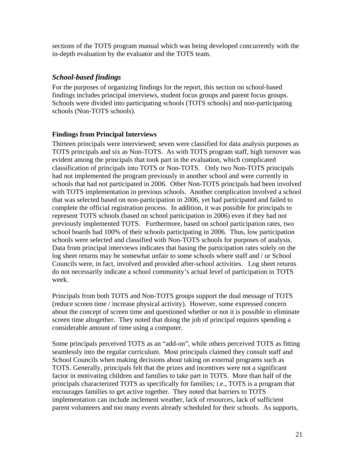sections of the TOTS program manual which was being developed concurrently with the in-depth evaluation by the evaluator and the TOTS team.

## *School-based findings*

For the purposes of organizing findings for the report, this section on school-based findings includes principal interviews, student focus groups and parent focus groups. Schools were divided into participating schools (TOTS schools) and non-participating schools (Non-TOTS schools).

## **Findings from Principal Interviews**

Thirteen principals were interviewed; seven were classified for data analysis purposes as TOTS principals and six as Non-TOTS. As with TOTS program staff, high turnover was evident among the principals that took part in the evaluation, which complicated classification of principals into TOTS or Non-TOTS. Only two Non-TOTS principals had not implemented the program previously in another school and were currently in schools that had not participated in 2006. Other Non-TOTS principals had been involved with TOTS implementation in previous schools. Another complication involved a school that was selected based on non-participation in 2006, yet had participated and failed to complete the official registration process. In addition, it was possible for principals to represent TOTS schools (based on school participation in 2006) even if they had not previously implemented TOTS. Furthermore, based on school participation rates, two school boards had 100% of their schools participating in 2006. Thus, low participation schools were selected and classified with Non-TOTS schools for purposes of analysis. Data from principal interviews indicates that basing the participation rates solely on the log sheet returns may be somewhat unfair to some schools where staff and / or School Councils were, in fact, involved and provided after-school activities. Log sheet returns do not necessarily indicate a school community's actual level of participation in TOTS week.

Principals from both TOTS and Non-TOTS groups support the dual message of TOTS (reduce screen time / increase physical activity). However, some expressed concern about the concept of screen time and questioned whether or not it is possible to eliminate screen time altogether. They noted that doing the job of principal requires spending a considerable amount of time using a computer.

Some principals perceived TOTS as an "add-on", while others perceived TOTS as fitting seamlessly into the regular curriculum. Most principals claimed they consult staff and School Councils when making decisions about taking on external programs such as TOTS. Generally, principals felt that the prizes and incentives were not a significant factor in motivating children and families to take part in TOTS. More than half of the principals characterized TOTS as specifically for families; i.e., TOTS is a program that encourages families to get active together. They noted that barriers to TOTS implementation can include inclement weather, lack of resources, lack of sufficient parent volunteers and too many events already scheduled for their schools. As supports,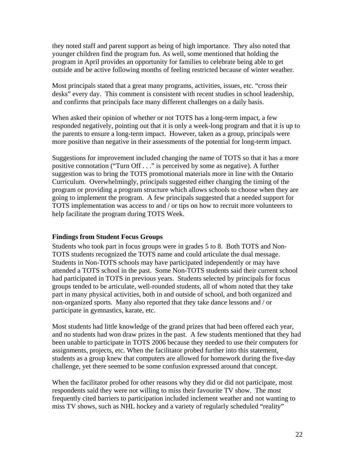they noted staff and parent support as being of high importance. They also noted that younger children find the program fun. As well, some mentioned that holding the program in April provides an opportunity for families to celebrate being able to get outside and be active following months of feeling restricted because of winter weather.

Most principals stated that a great many programs, activities, issues, etc. "cross their desks" every day. This comment is consistent with recent studies in school leadership, and confirms that principals face many different challenges on a daily basis.

When asked their opinion of whether or not TOTS has a long-term impact, a few responded negatively, pointing out that it is only a week-long program and that it is up to the parents to ensure a long-term impact. However, taken as a group, principals were more positive than negative in their assessments of the potential for long-term impact.

Suggestions for improvement included changing the name of TOTS so that it has a more positive connotation ("Turn Off . . ." is perceived by some as negative). A further suggestion was to bring the TOTS promotional materials more in line with the Ontario Curriculum. Overwhelmingly, principals suggested either changing the timing of the program or providing a program structure which allows schools to choose when they are going to implement the program. A few principals suggested that a needed support for TOTS implementation was access to and / or tips on how to recruit more volunteers to help facilitate the program during TOTS Week.

#### **Findings from Student Focus Groups**

Students who took part in focus groups were in grades 5 to 8. Both TOTS and Non-TOTS students recognized the TOTS name and could articulate the dual message. Students in Non-TOTS schools may have participated independently or may have attended a TOTS school in the past. Some Non-TOTS students said their current school had participated in TOTS in previous years. Students selected by principals for focus groups tended to be articulate, well-rounded students, all of whom noted that they take part in many physical activities, both in and outside of school, and both organized and non-organized sports. Many also reported that they take dance lessons and / or participate in gymnastics, karate, etc.

Most students had little knowledge of the grand prizes that had been offered each year, and no students had won draw prizes in the past. A few students mentioned that they had been unable to participate in TOTS 2006 because they needed to use their computers for assignments, projects, etc. When the facilitator probed further into this statement, students as a group knew that computers are allowed for homework during the five-day challenge, yet there seemed to be some confusion expressed around that concept.

When the facilitator probed for other reasons why they did or did not participate, most respondents said they were not willing to miss their favourite TV show. The most frequently cited barriers to participation included inclement weather and not wanting to miss TV shows, such as NHL hockey and a variety of regularly scheduled "reality"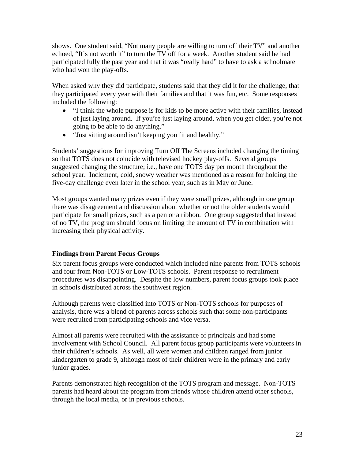shows. One student said, "Not many people are willing to turn off their TV" and another echoed, "It's not worth it" to turn the TV off for a week. Another student said he had participated fully the past year and that it was "really hard" to have to ask a schoolmate who had won the play-offs.

When asked why they did participate, students said that they did it for the challenge, that they participated every year with their families and that it was fun, etc. Some responses included the following:

- "I think the whole purpose is for kids to be more active with their families, instead of just laying around. If you're just laying around, when you get older, you're not going to be able to do anything."
- "Just sitting around isn't keeping you fit and healthy."

Students' suggestions for improving Turn Off The Screens included changing the timing so that TOTS does not coincide with televised hockey play-offs. Several groups suggested changing the structure; i.e., have one TOTS day per month throughout the school year. Inclement, cold, snowy weather was mentioned as a reason for holding the five-day challenge even later in the school year, such as in May or June.

Most groups wanted many prizes even if they were small prizes, although in one group there was disagreement and discussion about whether or not the older students would participate for small prizes, such as a pen or a ribbon. One group suggested that instead of no TV, the program should focus on limiting the amount of TV in combination with increasing their physical activity.

## **Findings from Parent Focus Groups**

Six parent focus groups were conducted which included nine parents from TOTS schools and four from Non-TOTS or Low-TOTS schools. Parent response to recruitment procedures was disappointing. Despite the low numbers, parent focus groups took place in schools distributed across the southwest region.

Although parents were classified into TOTS or Non-TOTS schools for purposes of analysis, there was a blend of parents across schools such that some non-participants were recruited from participating schools and vice versa.

Almost all parents were recruited with the assistance of principals and had some involvement with School Council. All parent focus group participants were volunteers in their children's schools. As well, all were women and children ranged from junior kindergarten to grade 9, although most of their children were in the primary and early junior grades.

Parents demonstrated high recognition of the TOTS program and message. Non-TOTS parents had heard about the program from friends whose children attend other schools, through the local media, or in previous schools.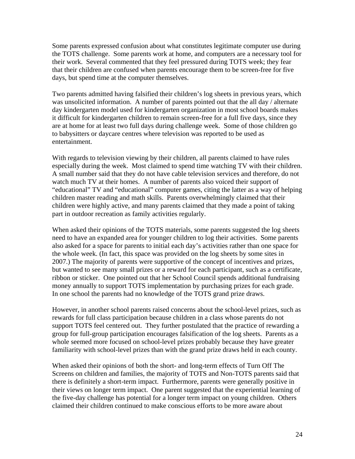Some parents expressed confusion about what constitutes legitimate computer use during the TOTS challenge. Some parents work at home, and computers are a necessary tool for their work. Several commented that they feel pressured during TOTS week; they fear that their children are confused when parents encourage them to be screen-free for five days, but spend time at the computer themselves.

Two parents admitted having falsified their children's log sheets in previous years, which was unsolicited information. A number of parents pointed out that the all day / alternate day kindergarten model used for kindergarten organization in most school boards makes it difficult for kindergarten children to remain screen-free for a full five days, since they are at home for at least two full days during challenge week. Some of those children go to babysitters or daycare centres where television was reported to be used as entertainment.

With regards to television viewing by their children, all parents claimed to have rules especially during the week. Most claimed to spend time watching TV with their children. A small number said that they do not have cable television services and therefore, do not watch much TV at their homes. A number of parents also voiced their support of "educational" TV and "educational" computer games, citing the latter as a way of helping children master reading and math skills. Parents overwhelmingly claimed that their children were highly active, and many parents claimed that they made a point of taking part in outdoor recreation as family activities regularly.

When asked their opinions of the TOTS materials, some parents suggested the log sheets need to have an expanded area for younger children to log their activities. Some parents also asked for a space for parents to initial each day's activities rather than one space for the whole week. (In fact, this space was provided on the log sheets by some sites in 2007.) The majority of parents were supportive of the concept of incentives and prizes, but wanted to see many small prizes or a reward for each participant, such as a certificate, ribbon or sticker. One pointed out that her School Council spends additional fundraising money annually to support TOTS implementation by purchasing prizes for each grade. In one school the parents had no knowledge of the TOTS grand prize draws.

However, in another school parents raised concerns about the school-level prizes, such as rewards for full class participation because children in a class whose parents do not support TOTS feel centered out. They further postulated that the practice of rewarding a group for full-group participation encourages falsification of the log sheets. Parents as a whole seemed more focused on school-level prizes probably because they have greater familiarity with school-level prizes than with the grand prize draws held in each county.

When asked their opinions of both the short- and long-term effects of Turn Off The Screens on children and families, the majority of TOTS and Non-TOTS parents said that there is definitely a short-term impact. Furthermore, parents were generally positive in their views on longer term impact. One parent suggested that the experiential learning of the five-day challenge has potential for a longer term impact on young children. Others claimed their children continued to make conscious efforts to be more aware about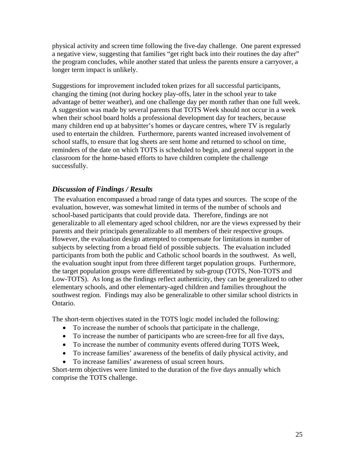physical activity and screen time following the five-day challenge. One parent expressed a negative view, suggesting that families "get right back into their routines the day after" the program concludes, while another stated that unless the parents ensure a carryover, a longer term impact is unlikely.

Suggestions for improvement included token prizes for all successful participants, changing the timing (not during hockey play-offs, later in the school year to take advantage of better weather), and one challenge day per month rather than one full week. A suggestion was made by several parents that TOTS Week should not occur in a week when their school board holds a professional development day for teachers, because many children end up at babysitter's homes or daycare centres, where TV is regularly used to entertain the children. Furthermore, parents wanted increased involvement of school staffs, to ensure that log sheets are sent home and returned to school on time, reminders of the date on which TOTS is scheduled to begin, and general support in the classroom for the home-based efforts to have children complete the challenge successfully.

## *Discussion of Findings / Results*

 The evaluation encompassed a broad range of data types and sources. The scope of the evaluation, however, was somewhat limited in terms of the number of schools and school-based participants that could provide data. Therefore, findings are not generalizable to all elementary aged school children, nor are the views expressed by their parents and their principals generalizable to all members of their respective groups. However, the evaluation design attempted to compensate for limitations in number of subjects by selecting from a broad field of possible subjects. The evaluation included participants from both the public and Catholic school boards in the southwest. As well, the evaluation sought input from three different target population groups. Furthermore, the target population groups were differentiated by sub-group (TOTS, Non-TOTS and Low-TOTS). As long as the findings reflect authenticity, they can be generalized to other elementary schools, and other elementary-aged children and families throughout the southwest region. Findings may also be generalizable to other similar school districts in Ontario.

The short-term objectives stated in the TOTS logic model included the following:

- To increase the number of schools that participate in the challenge,
- To increase the number of participants who are screen-free for all five days,
- To increase the number of community events offered during TOTS Week,
- To increase families' awareness of the benefits of daily physical activity, and
- To increase families' awareness of usual screen hours.

Short-term objectives were limited to the duration of the five days annually which comprise the TOTS challenge.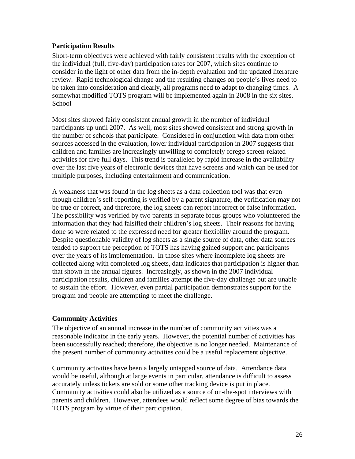## **Participation Results**

Short-term objectives were achieved with fairly consistent results with the exception of the individual (full, five-day) participation rates for 2007, which sites continue to consider in the light of other data from the in-depth evaluation and the updated literature review. Rapid technological change and the resulting changes on people's lives need to be taken into consideration and clearly, all programs need to adapt to changing times. A somewhat modified TOTS program will be implemented again in 2008 in the six sites. School

Most sites showed fairly consistent annual growth in the number of individual participants up until 2007. As well, most sites showed consistent and strong growth in the number of schools that participate. Considered in conjunction with data from other sources accessed in the evaluation, lower individual participation in 2007 suggests that children and families are increasingly unwilling to completely forego screen-related activities for five full days. This trend is paralleled by rapid increase in the availability over the last five years of electronic devices that have screens and which can be used for multiple purposes, including entertainment and communication.

A weakness that was found in the log sheets as a data collection tool was that even though children's self-reporting is verified by a parent signature, the verification may not be true or correct, and therefore, the log sheets can report incorrect or false information. The possibility was verified by two parents in separate focus groups who volunteered the information that they had falsified their children's log sheets. Their reasons for having done so were related to the expressed need for greater flexibility around the program. Despite questionable validity of log sheets as a single source of data, other data sources tended to support the perception of TOTS has having gained support and participants over the years of its implementation. In those sites where incomplete log sheets are collected along with completed log sheets, data indicates that participation is higher than that shown in the annual figures. Increasingly, as shown in the 2007 individual participation results, children and families attempt the five-day challenge but are unable to sustain the effort. However, even partial participation demonstrates support for the program and people are attempting to meet the challenge.

## **Community Activities**

The objective of an annual increase in the number of community activities was a reasonable indicator in the early years. However, the potential number of activities has been successfully reached; therefore, the objective is no longer needed. Maintenance of the present number of community activities could be a useful replacement objective.

Community activities have been a largely untapped source of data. Attendance data would be useful, although at large events in particular, attendance is difficult to assess accurately unless tickets are sold or some other tracking device is put in place. Community activities could also be utilized as a source of on-the-spot interviews with parents and children. However, attendees would reflect some degree of bias towards the TOTS program by virtue of their participation.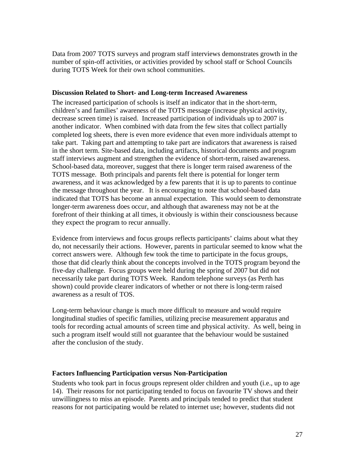Data from 2007 TOTS surveys and program staff interviews demonstrates growth in the number of spin-off activities, or activities provided by school staff or School Councils during TOTS Week for their own school communities.

### **Discussion Related to Short- and Long-term Increased Awareness**

The increased participation of schools is itself an indicator that in the short-term, children's and families' awareness of the TOTS message (increase physical activity, decrease screen time) is raised. Increased participation of individuals up to 2007 is another indicator. When combined with data from the few sites that collect partially completed log sheets, there is even more evidence that even more individuals attempt to take part. Taking part and attempting to take part are indicators that awareness is raised in the short term. Site-based data, including artifacts, historical documents and program staff interviews augment and strengthen the evidence of short-term, raised awareness. School-based data, moreover, suggest that there is longer term raised awareness of the TOTS message. Both principals and parents felt there is potential for longer term awareness, and it was acknowledged by a few parents that it is up to parents to continue the message throughout the year. It is encouraging to note that school-based data indicated that TOTS has become an annual expectation. This would seem to demonstrate longer-term awareness does occur, and although that awareness may not be at the forefront of their thinking at all times, it obviously is within their consciousness because they expect the program to recur annually.

Evidence from interviews and focus groups reflects participants' claims about what they do, not necessarily their actions. However, parents in particular seemed to know what the correct answers were. Although few took the time to participate in the focus groups, those that did clearly think about the concepts involved in the TOTS program beyond the five-day challenge. Focus groups were held during the spring of 2007 but did not necessarily take part during TOTS Week. Random telephone surveys (as Perth has shown) could provide clearer indicators of whether or not there is long-term raised awareness as a result of TOS.

Long-term behaviour change is much more difficult to measure and would require longitudinal studies of specific families, utilizing precise measurement apparatus and tools for recording actual amounts of screen time and physical activity. As well, being in such a program itself would still not guarantee that the behaviour would be sustained after the conclusion of the study.

## **Factors Influencing Participation versus Non-Participation**

Students who took part in focus groups represent older children and youth (i.e., up to age 14). Their reasons for not participating tended to focus on favourite TV shows and their unwillingness to miss an episode. Parents and principals tended to predict that student reasons for not participating would be related to internet use; however, students did not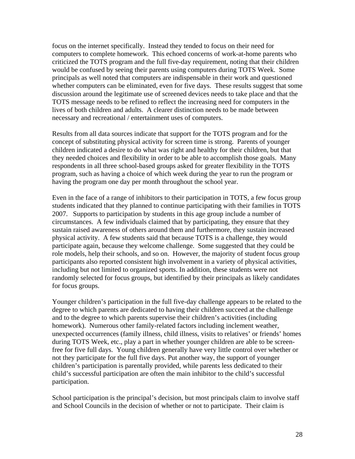focus on the internet specifically. Instead they tended to focus on their need for computers to complete homework. This echoed concerns of work-at-home parents who criticized the TOTS program and the full five-day requirement, noting that their children would be confused by seeing their parents using computers during TOTS Week. Some principals as well noted that computers are indispensable in their work and questioned whether computers can be eliminated, even for five days. These results suggest that some discussion around the legitimate use of screened devices needs to take place and that the TOTS message needs to be refined to reflect the increasing need for computers in the lives of both children and adults. A clearer distinction needs to be made between necessary and recreational / entertainment uses of computers.

Results from all data sources indicate that support for the TOTS program and for the concept of substituting physical activity for screen time is strong. Parents of younger children indicated a desire to do what was right and healthy for their children, but that they needed choices and flexibility in order to be able to accomplish those goals. Many respondents in all three school-based groups asked for greater flexibility in the TOTS program, such as having a choice of which week during the year to run the program or having the program one day per month throughout the school year.

Even in the face of a range of inhibitors to their participation in TOTS, a few focus group students indicated that they planned to continue participating with their families in TOTS 2007. Supports to participation by students in this age group include a number of circumstances. A few individuals claimed that by participating, they ensure that they sustain raised awareness of others around them and furthermore, they sustain increased physical activity. A few students said that because TOTS is a challenge, they would participate again, because they welcome challenge. Some suggested that they could be role models, help their schools, and so on. However, the majority of student focus group participants also reported consistent high involvement in a variety of physical activities, including but not limited to organized sports. In addition, these students were not randomly selected for focus groups, but identified by their principals as likely candidates for focus groups.

Younger children's participation in the full five-day challenge appears to be related to the degree to which parents are dedicated to having their children succeed at the challenge and to the degree to which parents supervise their children's activities (including homework). Numerous other family-related factors including inclement weather, unexpected occurrences (family illness, child illness, visits to relatives' or friends' homes during TOTS Week, etc., play a part in whether younger children are able to be screenfree for five full days. Young children generally have very little control over whether or not they participate for the full five days. Put another way, the support of younger children's participation is parentally provided, while parents less dedicated to their child's successful participation are often the main inhibitor to the child's successful participation.

School participation is the principal's decision, but most principals claim to involve staff and School Councils in the decision of whether or not to participate. Their claim is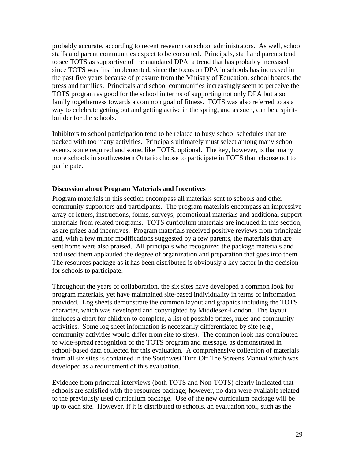probably accurate, according to recent research on school administrators. As well, school staffs and parent communities expect to be consulted. Principals, staff and parents tend to see TOTS as supportive of the mandated DPA, a trend that has probably increased since TOTS was first implemented, since the focus on DPA in schools has increased in the past five years because of pressure from the Ministry of Education, school boards, the press and families. Principals and school communities increasingly seem to perceive the TOTS program as good for the school in terms of supporting not only DPA but also family togetherness towards a common goal of fitness. TOTS was also referred to as a way to celebrate getting out and getting active in the spring, and as such, can be a spiritbuilder for the schools.

Inhibitors to school participation tend to be related to busy school schedules that are packed with too many activities. Principals ultimately must select among many school events, some required and some, like TOTS, optional. The key, however, is that many more schools in southwestern Ontario choose to participate in TOTS than choose not to participate.

#### **Discussion about Program Materials and Incentives**

Program materials in this section encompass all materials sent to schools and other community supporters and participants. The program materials encompass an impressive array of letters, instructions, forms, surveys, promotional materials and additional support materials from related programs. TOTS curriculum materials are included in this section, as are prizes and incentives. Program materials received positive reviews from principals and, with a few minor modifications suggested by a few parents, the materials that are sent home were also praised. All principals who recognized the package materials and had used them applauded the degree of organization and preparation that goes into them. The resources package as it has been distributed is obviously a key factor in the decision for schools to participate.

Throughout the years of collaboration, the six sites have developed a common look for program materials, yet have maintained site-based individuality in terms of information provided. Log sheets demonstrate the common layout and graphics including the TOTS character, which was developed and copyrighted by Middlesex-London. The layout includes a chart for children to complete, a list of possible prizes, rules and community activities. Some log sheet information is necessarily differentiated by site (e.g., community activities would differ from site to sites). The common look has contributed to wide-spread recognition of the TOTS program and message, as demonstrated in school-based data collected for this evaluation. A comprehensive collection of materials from all six sites is contained in the Southwest Turn Off The Screens Manual which was developed as a requirement of this evaluation.

Evidence from principal interviews (both TOTS and Non-TOTS) clearly indicated that schools are satisfied with the resources package; however, no data were available related to the previously used curriculum package. Use of the new curriculum package will be up to each site. However, if it is distributed to schools, an evaluation tool, such as the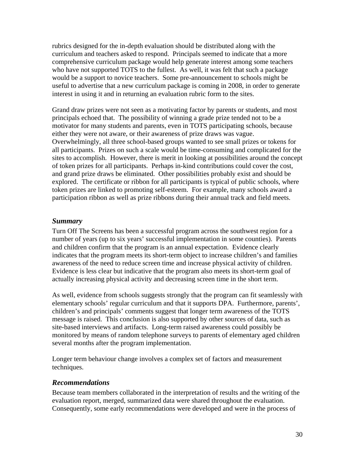rubrics designed for the in-depth evaluation should be distributed along with the curriculum and teachers asked to respond. Principals seemed to indicate that a more comprehensive curriculum package would help generate interest among some teachers who have not supported TOTS to the fullest. As well, it was felt that such a package would be a support to novice teachers. Some pre-announcement to schools might be useful to advertise that a new curriculum package is coming in 2008, in order to generate interest in using it and in returning an evaluation rubric form to the sites.

Grand draw prizes were not seen as a motivating factor by parents or students, and most principals echoed that. The possibility of winning a grade prize tended not to be a motivator for many students and parents, even in TOTS participating schools, because either they were not aware, or their awareness of prize draws was vague. Overwhelmingly, all three school-based groups wanted to see small prizes or tokens for all participants. Prizes on such a scale would be time-consuming and complicated for the sites to accomplish. However, there is merit in looking at possibilities around the concept of token prizes for all participants. Perhaps in-kind contributions could cover the cost, and grand prize draws be eliminated. Other possibilities probably exist and should be explored. The certificate or ribbon for all participants is typical of public schools, where token prizes are linked to promoting self-esteem. For example, many schools award a participation ribbon as well as prize ribbons during their annual track and field meets.

#### *Summary*

Turn Off The Screens has been a successful program across the southwest region for a number of years (up to six years' successful implementation in some counties). Parents and children confirm that the program is an annual expectation. Evidence clearly indicates that the program meets its short-term object to increase children's and families awareness of the need to reduce screen time and increase physical activity of children. Evidence is less clear but indicative that the program also meets its short-term goal of actually increasing physical activity and decreasing screen time in the short term.

As well, evidence from schools suggests strongly that the program can fit seamlessly with elementary schools' regular curriculum and that it supports DPA. Furthermore, parents', children's and principals' comments suggest that longer term awareness of the TOTS message is raised. This conclusion is also supported by other sources of data, such as site-based interviews and artifacts. Long-term raised awareness could possibly be monitored by means of random telephone surveys to parents of elementary aged children several months after the program implementation.

Longer term behaviour change involves a complex set of factors and measurement techniques.

#### *Recommendations*

Because team members collaborated in the interpretation of results and the writing of the evaluation report, merged, summarized data were shared throughout the evaluation. Consequently, some early recommendations were developed and were in the process of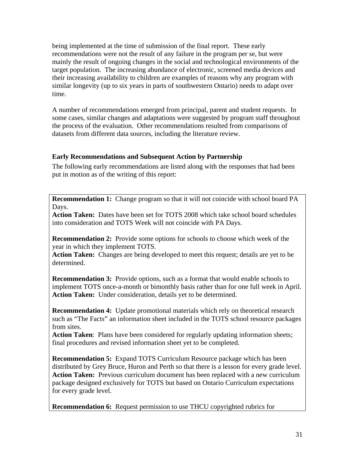being implemented at the time of submission of the final report. These early recommendations were not the result of any failure in the program per se, but were mainly the result of ongoing changes in the social and technological environments of the target population. The increasing abundance of electronic, screened media devices and their increasing availability to children are examples of reasons why any program with similar longevity (up to six years in parts of southwestern Ontario) needs to adapt over time.

A number of recommendations emerged from principal, parent and student requests. In some cases, similar changes and adaptations were suggested by program staff throughout the process of the evaluation. Other recommendations resulted from comparisons of datasets from different data sources, including the literature review.

## **Early Recommendations and Subsequent Action by Partnership**

The following early recommendations are listed along with the responses that had been put in motion as of the writing of this report:

**Recommendation 1:** Change program so that it will not coincide with school board PA Days.

**Action Taken:** Dates have been set for TOTS 2008 which take school board schedules into consideration and TOTS Week will not coincide with PA Days.

**Recommendation 2:** Provide some options for schools to choose which week of the year in which they implement TOTS.

**Action Taken:** Changes are being developed to meet this request; details are yet to be determined.

**Recommendation 3:** Provide options, such as a format that would enable schools to implement TOTS once-a-month or bimonthly basis rather than for one full week in April. **Action Taken:** Under consideration, details yet to be determined.

**Recommendation 4:** Update promotional materials which rely on theoretical research such as "The Facts" an information sheet included in the TOTS school resource packages from sites.

**Action Taken**: Plans have been considered for regularly updating information sheets; final procedures and revised information sheet yet to be completed.

**Recommendation 5:** Expand TOTS Curriculum Resource package which has been distributed by Grey Bruce, Huron and Perth so that there is a lesson for every grade level. **Action Taken:** Previous curriculum document has been replaced with a new curriculum package designed exclusively for TOTS but based on Ontario Curriculum expectations for every grade level.

**Recommendation 6:** Request permission to use THCU copyrighted rubrics for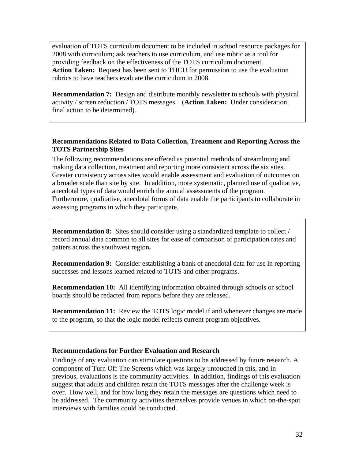evaluation of TOTS curriculum document to be included in school resource packages for 2008 with curriculum; ask teachers to use curriculum, and use rubric as a tool for providing feedback on the effectiveness of the TOTS curriculum document. **Action Taken:** Request has been sent to THCU for permission to use the evaluation rubrics to have teachers evaluate the curriculum in 2008.

**Recommendation 7:** Design and distribute monthly newsletter to schools with physical activity / screen reduction / TOTS messages. (**Action Taken:** Under consideration, final action to be determined).

## **Recommendations Related to Data Collection, Treatment and Reporting Across the TOTS Partnership Sites**

The following recommendations are offered as potential methods of streamlining and making data collection, treatment and reporting more consistent across the six sites. Greater consistency across sites would enable assessment and evaluation of outcomes on a broader scale than site by site. In addition, more systematic, planned use of qualitative, anecdotal types of data would enrich the annual assessments of the program. Furthermore, qualitative, anecdotal forms of data enable the participants to collaborate in assessing programs in which they participate.

**Recommendation 8:** Sites should consider using a standardized template to collect / record annual data common to all sites for ease of comparison of participation rates and patters across the southwest region**.**

**Recommendation 9:** Consider establishing a bank of anecdotal data for use in reporting successes and lessons learned related to TOTS and other programs.

**Recommendation 10:** All identifying information obtained through schools or school boards should be redacted from reports before they are released.

**Recommendation 11:** Review the TOTS logic model if and whenever changes are made to the program, so that the logic model reflects current program objectives.

## **Recommendations for Further Evaluation and Research**

Findings of any evaluation can stimulate questions to be addressed by future research. A component of Turn Off The Screens which was largely untouched in this, and in previous, evaluations is the community activities. In addition, findings of this evaluation suggest that adults and children retain the TOTS messages after the challenge week is over. How well, and for how long they retain the messages are questions which need to be addressed. The community activities themselves provide venues in which on-the-spot interviews with families could be conducted.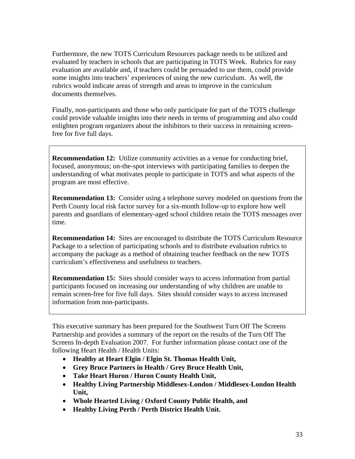Furthermore, the new TOTS Curriculum Resources package needs to be utilized and evaluated by teachers in schools that are participating in TOTS Week. Rubrics for easy evaluation are available and, if teachers could be persuaded to use them, could provide some insights into teachers' experiences of using the new curriculum. As well, the rubrics would indicate areas of strength and areas to improve in the curriculum documents themselves.

Finally, non-participants and those who only participate for part of the TOTS challenge could provide valuable insights into their needs in terms of programming and also could enlighten program organizers about the inhibitors to their success in remaining screenfree for five full days.

**Recommendation 12:** Utilize community activities as a venue for conducting brief, focused, anonymous; on-the-spot interviews with participating families to deepen the understanding of what motivates people to participate in TOTS and what aspects of the program are most effective.

**Recommendation 13:** Consider using a telephone survey modeled on questions from the Perth County local risk factor survey for a six-month follow-up to explore how well parents and guardians of elementary-aged school children retain the TOTS messages over time.

**Recommendation 14:** Sites are encouraged to distribute the TOTS Curriculum Resource Package to a selection of participating schools and to distribute evaluation rubrics to accompany the package as a method of obtaining teacher feedback on the new TOTS curriculum's effectiveness and usefulness to teachers.

**Recommendation 15:** Sites should consider ways to access information from partial participants focused on increasing our understanding of why children are unable to remain screen-free for five full days. Sites should consider ways to access increased information from non-participants.

This executive summary has been prepared for the Southwest Turn Off The Screens Partnership and provides a summary of the report on the results of the Turn Off The Screens In-depth Evaluation 2007. For further information please contact one of the following Heart Health / Health Units:

- **Healthy at Heart Elgin / Elgin St. Thomas Health Unit,**
- **Grey Bruce Partners in Health / Grey Bruce Health Unit,**
- **Take Heart Huron / Huron County Health Unit,**
- **Healthy Living Partnership Middlesex-London / Middlesex-London Health Unit,**
- **Whole Hearted Living / Oxford County Public Health, and**
- **Healthy Living Perth / Perth District Health Unit.**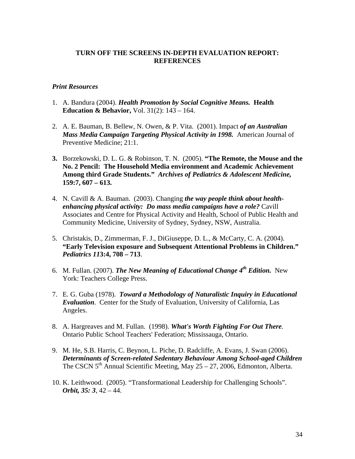### **TURN OFF THE SCREENS IN-DEPTH EVALUATION REPORT: REFERENCES**

### *Print Resources*

- 1. A. Bandura (2004). *Health Promotion by Social Cognitive Means.* **Health Education & Behavior,** Vol. 31(2): 143 – 164.
- 2. A. E. Bauman, B. Bellew, N. Owen, & P. Vita. (2001). Impact *of an Australian Mass Media Campaign Targeting Physical Activity in 1998.* American Journal of Preventive Medicine; 21:1.
- **3.** Borzekowski, D. L. G. & Robinson, T. N. (2005). **"The Remote, the Mouse and the No. 2 Pencil: The Household Media environment and Academic Achievement Among third Grade Students."** *Archives of Pediatrics & Adolescent Medicine,* **159:7, 607 – 613.**
- 4. N. Cavill & A. Bauman. (2003). Changing *the way people think about healthenhancing physical activity: Do mass media campaigns have a role?* Cavill Associates and Centre for Physical Activity and Health, School of Public Health and Community Medicine, University of Sydney, Sydney, NSW, Australia.
- 5. Christakis, D., Zimmerman, F. J., DiGiuseppe, D. L., & McCarty, C. A. (2004). **"Early Television exposure and Subsequent Attentional Problems in Children."** *Pediatrics 11***3:4, 708 – 713**.
- 6. M. Fullan. (2007). *The New Meaning of Educational Change 4th Edition.*New York: Teachers College Press.
- 7. E. G. Guba (1978). *Toward a Methodology of Naturalistic Inquiry in Educational Evaluation*. Center for the Study of Evaluation, University of California, Las Angeles.
- 8. A. Hargreaves and M. Fullan. (1998). *What's Worth Fighting For Out There.*  Ontario Public School Teachers' Federation; Mississauga, Ontario.
- 9. M. He, S.B. Harris, C. Beynon, L. Piche, D. Radcliffe, A. Evans, J. Swan (2006). *Determinants of Screen-related Sedentary Behaviour Among School-aged Children* The CSCN  $5<sup>th</sup>$  Annual Scientific Meeting, May 25 – 27, 2006, Edmonton, Alberta.
- 10. K. Leithwood. (2005). "Transformational Leadership for Challenging Schools". *Orbit, 35: 3*, 42 – 44.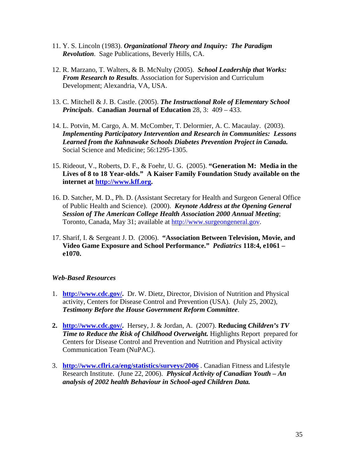- 11. Y. S. Lincoln (1983). *Organizational Theory and Inquiry: The Paradigm Revolution*. Sage Publications, Beverly Hills, CA.
- 12. R. Marzano, T. Walters, & B. McNulty (2005). *School Leadership that Works: From Research to Results*. Association for Supervision and Curriculum Development; Alexandria, VA, USA.
- 13. C. Mitchell & J. B. Castle. (2005). *The Instructional Role of Elementary School Principals*. **Canadian Journal of Education** 28, 3: 409 – 433.
- 14. L. Potvin, M. Cargo, A. M. McComber, T. Delormier, A. C. Macaulay. (2003). *Implementing Participatory Intervention and Research in Communities: Lessons Learned from the Kahnawake Schools Diabetes Prevention Project in Canada.* Social Science and Medicine; 56:1295-1305.
- 15. Rideout, V., Roberts, D. F., & Foehr, U. G. (2005). **"Generation M: Media in the Lives of 8 to 18 Year-olds." A Kaiser Family Foundation Study available on the internet at http://www.kff.org.**
- 16. D. Satcher, M. D., Ph. D. (Assistant Secretary for Health and Surgeon General Office of Public Health and Science). (2000). *Keynote Address at the Opening General Session of The American College Health Association 2000 Annual Meeting*; Toronto, Canada, May 31; available at http://www.surgeongeneral.gov.
- 17. Sharif, I. & Sergeant J. D. (2006). **"Association Between Television, Movie, and Video Game Exposure and School Performance."** *Pediatrics* **118:4, e1061 – e1070.**

## *Web-Based Resources*

- 1. **http://www.cdc.gov/.** Dr. W. Dietz, Director, Division of Nutrition and Physical activity, Centers for Disease Control and Prevention (USA). (July 25, 2002), *Testimony Before the House Government Reform Committee*.
- **2. http://www.cdc.gov/.** Hersey, J. & Jordan, A. (2007). **Reducing** *Children's TV Time to Reduce the Risk of Childhood Overweight.* Highlights Report prepared for Centers for Disease Control and Prevention and Nutrition and Physical activity Communication Team (NuPAC).
- 3. **http://www.cflri.ca/eng/statistics/surveys/2006** . Canadian Fitness and Lifestyle Research Institute. (June 22, 2006). *Physical Activity of Canadian Youth – An analysis of 2002 health Behaviour in School-aged Children Data.*